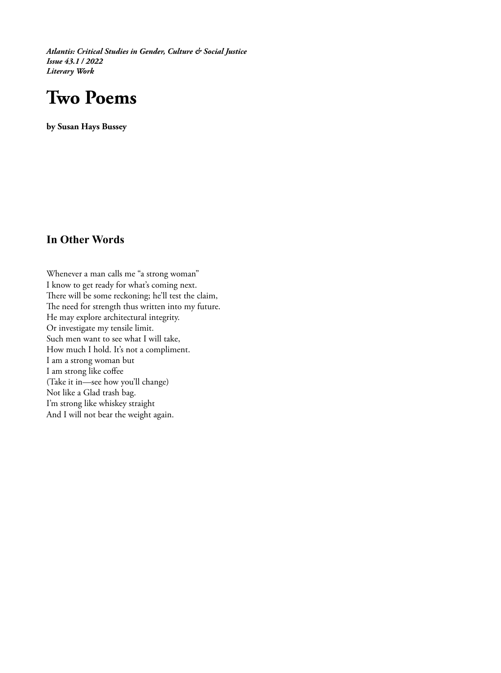*Atlantis: Critical Studies in Gender, Culture & Social Justice Issue 43.1 / 2022 Literary Work*

## **Two Poems**

**by Susan Hays Bussey**

## **In Other Words**

Whenever a man calls me "a strong woman" I know to get ready for what's coming next. There will be some reckoning; he'll test the claim, The need for strength thus written into my future. He may explore architectural integrity. Or investigate my tensile limit. Such men want to see what I will take, How much I hold. It's not a compliment. I am a strong woman but I am strong like coffee (Take it in—see how you'll change) Not like a Glad trash bag. I'm strong like whiskey straight And I will not bear the weight again.